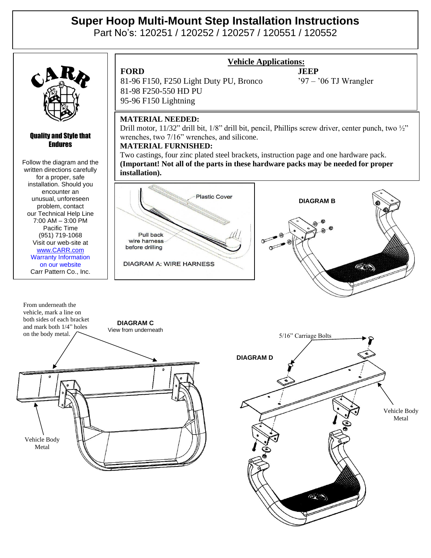# **Super Hoop Multi-Mount Step Installation Instructions**

Part No's: 120251 / 120252 / 120257 / 120551 / 120552



#### Quality and Style that Endures

Follow the diagram and the written directions carefully for a proper, safe installation. Should you encounter an unusual, unforeseen problem, contact our Technical Help Line 7:00 AM – 3:00 PM Pacific Time (951) 719-1068 Visit our web-site at [www.CARR.com](http://www.carr.com/) Warranty Information on our website Carr Pattern Co., Inc.



## **Vehicle Applications:**

Vehicle Body Metal

### **MATERIAL NEEDED:**

Drill motor, 11/32" drill bit, 1/8" drill bit, pencil, Phillips screw driver, center punch, two 1/2" wrenches, two 7/16" wrenches, and silicone.

### **MATERIAL FURNISHED:**

Two castings, four zinc plated steel brackets, instruction page and one hardware pack. **(Important! Not all of the parts in these hardware packs may be needed for proper installation).**